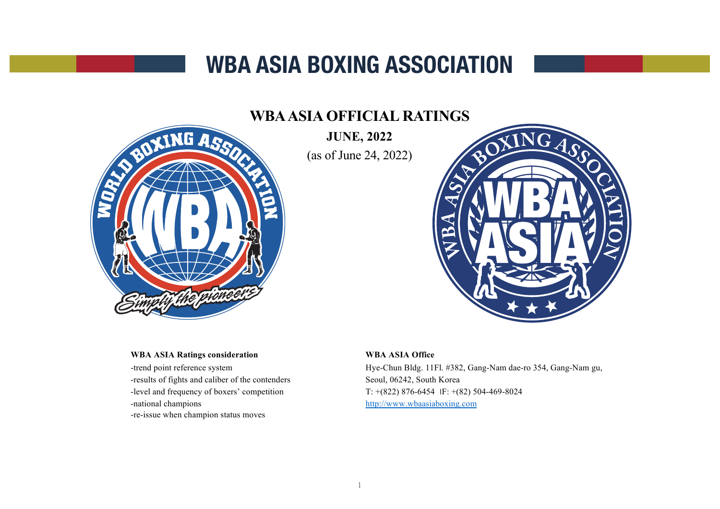# **WBA ASIA BOXING ASSOCIATION**

## **WBA ASIA OFFICIAL RATINGS**

XING ASSO

**JUNE, 2022** (as of June 24, 2022)



#### **WBA ASIA Ratings consideration**

-trend point reference system -results of fights and caliber of the contenders -level and frequency of boxers' competition -national champions -re-issue when champion status moves

#### **WBA ASIA Office**

Hye-Chun Bldg. 11Fl. #382, Gang-Nam dae-ro 354, Gang-Nam gu, Seoul, 06242, South Korea T:  $+(822)$  876-6454 IF:  $+(82)$  504-469-8024 [http://www.wbaasiaboxing.co](http://www.wbaasiaboxing.com/)m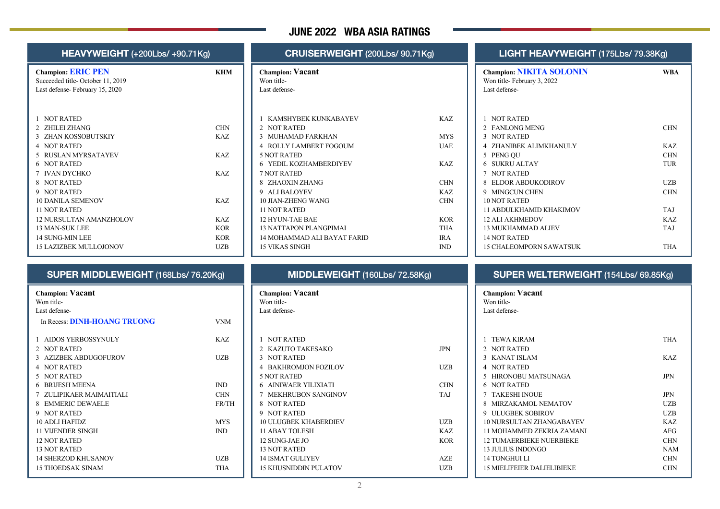## **JUNE 2022 WBA ASIA RATINGS**

| <b>HEAVYWEIGHT</b> (+200Lbs/ +90.71Kg) |            | CRUISERWEIGHT (200Lbs/ 90.71Kg) |            |  |
|----------------------------------------|------------|---------------------------------|------------|--|
| <b>Champion: ERIC PEN</b>              | <b>KHM</b> | <b>Champion: Vacant</b>         |            |  |
| Succeeded title-October 11, 2019       |            | Won title-                      |            |  |
| Last defense-February 15, 2020         |            | Last defense-                   |            |  |
| <b>NOT RATED</b>                       |            | KAMSHYBEK KUNKABAYEV            | KAZ        |  |
| ZHILEI ZHANG                           | <b>CHN</b> | 2 NOT RATED                     |            |  |
| <b>ZHAN KOSSOBUTSKIY</b><br>3          | KAZ        | MUHAMAD FARKHAN                 | <b>MYS</b> |  |
| 4 NOT RATED                            |            | <b>4 ROLLY LAMBERT FOGOUM</b>   | <b>UAE</b> |  |
| <b>RUSLAN MYRSATAYEV</b><br>5.         | KAZ        | <b>5 NOT RATED</b>              |            |  |
| <b>6 NOT RATED</b>                     |            | <b>6 YEDIL KOZHAMBERDIYEV</b>   | KAZ        |  |
| <b>IVAN DYCHKO</b>                     | KAZ        | <b>7 NOT RATED</b>              |            |  |
| <b>NOT RATED</b><br>8                  |            | 8 ZHAOXIN ZHANG                 | <b>CHN</b> |  |
| 9 NOT RATED                            |            | 9 ALI BALOYEV                   | KAZ        |  |
| <b>10 DANILA SEMENOV</b>               | KAZ        | <b>10 JIAN-ZHENG WANG</b>       | <b>CHN</b> |  |
| <b>11 NOT RATED</b>                    |            | <b>11 NOT RATED</b>             |            |  |
| 12 NURSULTAN AMANZHOLOV                | K A Z      | 12 HYUN-TAE BAE                 | <b>KOR</b> |  |
| <b>13 MAN-SUK LEE</b>                  | <b>KOR</b> | <b>13 NATTAPON PLANGPIMAI</b>   | <b>THA</b> |  |
| 14 SUNG-MIN LEE                        | <b>KOR</b> | 14 MOHAMMAD ALI BAYAT FARID     | <b>IRA</b> |  |
| <b>15 LAZIZBEK MULLOJONOV</b>          | <b>UZB</b> | <b>15 VIKAS SINGH</b>           | IND        |  |

**Champion: Vacant**

In Recess: **DINH-HOANG TRUONG** VNM

1 AIDOS YERBOSSYNULY KAZ

3 AZIZBEK ABDUGOFUROV UZB

6 BRIJESH MEENA IND 7 ZULIPIKAER MAIMAITIALI CHN 8 EMMERIC DEWAELE FR/TH

10 ADLI HAFIDZ MYS 11 VIJENDER SINGH IND

14 SHERZOD KHUSANOV UZB 15 THOEDSAK SINAM THA

Won title-Last defense-

2 NOT RATED

4 NOT RATED 5 NOT RATED

9 NOT RATED

12 NOT RATED 13 NOT RATED

| <b>Champion: Vacant</b> |  |  |
|-------------------------|--|--|
| Won title-              |  |  |
| Last defense-           |  |  |
|                         |  |  |

| <b>NOT RATED</b>        |     |
|-------------------------|-----|
| 2 KAZUTO TAKESAKO       | JPN |
| 3 NOT RATED             |     |
| 4 BAKHROMJON FOZILOV    | UZB |
| 5 NOT RATED             |     |
| 6 AINIWAER YILIXIATI    | CHN |
| 7 MEKHRUBON SANGINOV    | TAJ |
| 8 NOT RATED             |     |
| 9 NOT RATED             |     |
| 10 ULUGBEK KHABERDIEV   | UZB |
| 11 ABAY TOLESH          | KAZ |
| 12 SUNG-JAE JO          | KOR |
| 13 NOT RATED            |     |
| <b>14 ISMAT GULIYEV</b> | AZE |
| 15 KHUSNIDDIN PULATOV   | UZB |
|                         |     |

#### **LIGHT HEAVYWEIGHT** (175Lbs/ 79.38Kg)

| <b>Champion: NIKITA SOLONIN</b><br>Won title-February 3, 2022<br>Last defense- | WRA        |
|--------------------------------------------------------------------------------|------------|
| <b>NOT RATED</b>                                                               |            |
| 2 FANLONG MENG                                                                 | <b>CHN</b> |
| 3 NOT RATED                                                                    |            |
| ZHANIBEK ALIMKHANULY<br>4                                                      | KAZ        |
| 5 PENG QU                                                                      | <b>CHN</b> |
| <b>SUKRU ALTAY</b><br>6.                                                       | <b>TUR</b> |
| 7 NOT RATED                                                                    |            |
| ELDOR ABDUKODIROV<br>8                                                         | <b>UZB</b> |
| <b>MINGCUN CHEN</b><br>9                                                       | <b>CHN</b> |
| <b>10 NOT RATED</b>                                                            |            |
| 11 ABDULKHAMID KHAKIMOV                                                        | TAJ        |
| 12 ALI AKHMEDOV                                                                | K A Z      |
| 13 MUKHAMMAD ALIEV                                                             | <b>TAJ</b> |
| <b>14 NOT RATED</b>                                                            |            |
| <b>15 CHALEOMPORN SAWATSUK</b>                                                 | THA        |

#### **SUPER WELTERWEIGHT** (154Lbs/ 69.85Kg)

| <b>Champion: Vacant</b><br>Won title- |            |
|---------------------------------------|------------|
| Last defense-                         |            |
|                                       |            |
| <b>TEWA KIRAM</b>                     | <b>THA</b> |
| <b>NOT RATED</b><br>$\mathcal{P}$     |            |
| $\mathbf{R}$<br><b>KANATISLAM</b>     | KAZ        |
| <b>NOT RATED</b><br>4                 |            |
| HIRONOBU MATSUNAGA<br>5               | JPN        |
| <b>NOT RATED</b><br>6                 |            |
| <b>TAKESHI INOUE</b><br>7             | <b>JPN</b> |
| MIRZAKAMOL NEMATOV<br>8               | <b>UZB</b> |
| <b>ULUGBEK SOBIROV</b><br>9           | <b>UZB</b> |
| 10 NURSULTAN ZHANGARAYEV              | KAZ        |
| 11 MOHAMMED ZEKRIA ZAMANI             | AFG        |
| <b>12 TUMAERBIEKE NUERBIEKE</b>       | <b>CHN</b> |
| <b>13 JULIUS INDONGO</b>              | <b>NAM</b> |
| <b>14 TONGHUI LI</b>                  | <b>CHN</b> |
| 15 MIELIFEIER DALIELIBIEKE            | CHN        |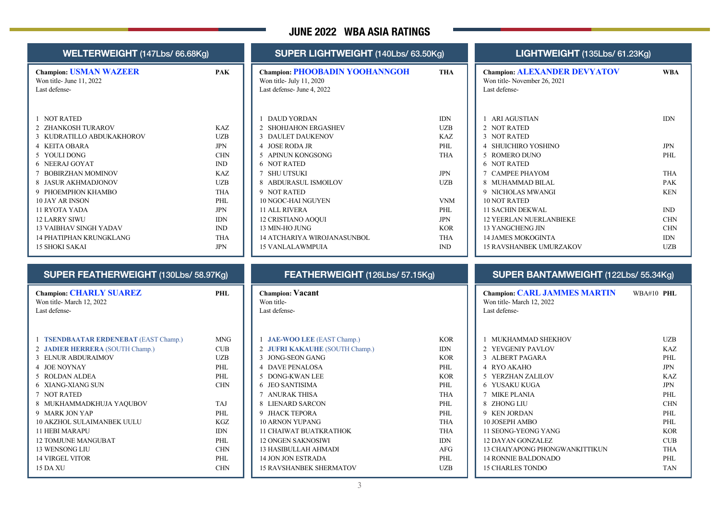## **JUNE 2022 WBA ASIA RATINGS**

| WELTERWEIGHT (147Lbs/ 66.68Kg)                                             |                   | SUPER LIGHTWEIGHT (140Lbs/ 63.50Kg)                                                             |                             | LIGHTWEIGHT (135Lbs/ 61.23Kg)                                                       |                          |  |
|----------------------------------------------------------------------------|-------------------|-------------------------------------------------------------------------------------------------|-----------------------------|-------------------------------------------------------------------------------------|--------------------------|--|
| <b>Champion: USMAN WAZEER</b><br>Won title- June 11, 2022<br>Last defense- | <b>PAK</b>        | <b>Champion: PHOOBADIN YOOHANNGOH</b><br>Won title- July 11, 2020<br>Last defense- June 4, 2022 | <b>THA</b>                  | <b>Champion: ALEXANDER DEVYATOV</b><br>Won title-November 26, 2021<br>Last defense- | <b>WBA</b>               |  |
| 1 NOT RATED                                                                |                   | 1 DAUD YORDAN                                                                                   | $\mathop{\rm IDN}\nolimits$ | 1 ARI AGUSTIAN                                                                      | <b>IDN</b>               |  |
| 2 ZHANKOSH TURAROV                                                         | KAZ<br><b>UZB</b> | 2 SHOHJAHON ERGASHEV                                                                            | <b>UZB</b><br>KAZ           | 2 NOT RATED<br>3 NOT RATED                                                          |                          |  |
| 3 KUDRATILLO ABDUKAKHOROV<br>4 KEITA OBARA                                 | <b>JPN</b>        | 3 DAULET DAUKENOV<br>4 JOSE RODA JR                                                             | PHL                         | 4 SHUICHIRO YOSHINO                                                                 | <b>JPN</b>               |  |
| 5 YOULI DONG                                                               | <b>CHN</b>        | 5 APINUN KONGSONG                                                                               | <b>THA</b>                  | 5 ROMERO DUNO                                                                       | PHL                      |  |
| 6 NEERAJ GOYAT                                                             | IND               | <b>6 NOT RATED</b>                                                                              |                             | <b>6 NOT RATED</b>                                                                  |                          |  |
| 7 BOBIRZHAN MOMINOV                                                        | <b>KAZ</b>        | 7 SHU UTSUKI                                                                                    | $\rm JPN$                   | 7 CAMPEE PHAYOM                                                                     | <b>THA</b>               |  |
| 8 JASUR AKHMADJONOV                                                        | <b>UZB</b>        | 8 ABDURASUL ISMOILOV                                                                            | <b>UZB</b>                  | 8 MUHAMMAD BILAL                                                                    | <b>PAK</b>               |  |
| 9 PHOEMPHON KHAMBO                                                         | <b>THA</b>        | 9 NOT RATED                                                                                     |                             | 9 NICHOLAS MWANGI                                                                   | <b>KEN</b>               |  |
| <b>10 JAY AR INSON</b>                                                     | PHL               | 10 NGOC-HAI NGUYEN                                                                              | <b>VNM</b>                  | <b>10 NOT RATED</b>                                                                 |                          |  |
| 11 RYOTA YADA                                                              | <b>JPN</b>        | <b>11 ALL RIVERA</b>                                                                            | PHL                         | <b>11 SACHIN DEKWAL</b>                                                             | IND                      |  |
| <b>12 LARRY SIWU</b>                                                       | <b>IDN</b>        | <b>12 CRISTIANO AOQUI</b>                                                                       | <b>JPN</b>                  | <b>12 YEERLAN NUERLANBIEKE</b>                                                      | <b>CHN</b>               |  |
| <b>13 VAIBHAV SINGH YADAV</b>                                              | IND<br><b>THA</b> | 13 MIN-HO JUNG                                                                                  | <b>KOR</b><br><b>THA</b>    | <b>13 YANGCHENG JIN</b><br><b>14 JAMES MOKOGINTA</b>                                | <b>CHN</b><br><b>IDN</b> |  |
| <b>14 PHATIPHAN KRUNGKLANG</b><br><b>15 SHOKI SAKAI</b>                    | <b>JPN</b>        | <b>14 ATCHARIYA WIROJANASUNBOL</b><br><b>15 VANLALAWMPUIA</b>                                   | IND                         | <b>15 RAVSHANBEK UMURZAKOV</b>                                                      | <b>UZB</b>               |  |
| SUPER FEATHERWEIGHT (130Lbs/ 58.97Kg)                                      |                   | FEATHERWEIGHT (126Lbs/ 57.15Kg)                                                                 |                             | SUPER BANTAMWEIGHT (122Lbs/ 55.34Kg)                                                |                          |  |
| <b>Champion: CHARLY SUAREZ</b>                                             | PHL               | <b>Champion: Vacant</b>                                                                         |                             | <b>Champion: CARL JAMMES MARTIN</b>                                                 | WBA#10 PHL               |  |
| Won title-March 12, 2022                                                   |                   | Won title-                                                                                      |                             | Won title-March 12, 2022                                                            |                          |  |
| Last defense-                                                              |                   | Last defense-                                                                                   |                             | Last defense-                                                                       |                          |  |
|                                                                            |                   |                                                                                                 |                             |                                                                                     |                          |  |
|                                                                            |                   |                                                                                                 |                             |                                                                                     |                          |  |
| 1 TSENDBAATAR ERDENEBAT (EAST Champ.)                                      | <b>MNG</b>        | 1 JAE-WOO LEE (EAST Champ.)                                                                     | <b>KOR</b>                  | 1 MUKHAMMAD SHEKHOV                                                                 | <b>UZB</b>               |  |
| 2 JADIER HERRERA (SOUTH Champ.)                                            | CUB               | 2 JUFRI KAKAUHE (SOUTH Champ.)                                                                  | <b>IDN</b>                  | 2 YEVGENIY PAVLOV                                                                   | <b>KAZ</b>               |  |
| 3 ELNUR ABDURAIMOV                                                         | $U\!Z\!B$         | 3 JONG-SEON GANG                                                                                | <b>KOR</b>                  | 3 ALBERT PAGARA                                                                     | PHL                      |  |
| 4 JOE NOYNAY                                                               | PHL               | <b>4 DAVE PENALOSA</b>                                                                          | PHL                         | 4 RYO AKAHO                                                                         | <b>JPN</b>               |  |
| 5 ROLDAN ALDEA                                                             | PHL               | 5 DONG-KWAN LEE                                                                                 | <b>KOR</b>                  | 5 YERZHAN ZALILOV                                                                   | KAZ                      |  |
| 6 XIANG-XIANG SUN                                                          | <b>CHN</b>        | 6 JEO SANTISIMA                                                                                 | PHL                         | 6 YUSAKU KUGA                                                                       | <b>JPN</b>               |  |
| 7 NOT RATED                                                                |                   | 7 ANURAK THISA                                                                                  | <b>THA</b>                  | 7 MIKE PLANIA                                                                       | PHL                      |  |
| 8 MUKHAMMADKHUJA YAQUBOV<br>9 MARK JON YAP                                 | <b>TAJ</b><br>PHL | 8 LIENARD SARCON<br>9 JHACK TEPORA                                                              | PHL<br>PHL                  | 8 ZHONG LIU<br>9 KEN JORDAN                                                         | <b>CHN</b><br>PHL        |  |
| 10 AKZHOL SULAIMANBEK UULU                                                 | <b>KGZ</b>        | <b>10 ARNON YUPANG</b>                                                                          | <b>THA</b>                  | 10 JOSEPH AMBO                                                                      | PHL                      |  |
| <b>11 HEBI MARAPU</b>                                                      | <b>IDN</b>        | <b>11 CHAIWAT BUATKRATHOK</b>                                                                   | <b>THA</b>                  | 11 SEONG-YEONG YANG                                                                 | <b>KOR</b>               |  |
| <b>12 TOMJUNE MANGUBAT</b>                                                 | PHL               | <b>12 ONGEN SAKNOSIWI</b>                                                                       | <b>IDN</b>                  | <b>12 DAYAN GONZALEZ</b>                                                            | CUB                      |  |
| 13 WENSONG LIU<br><b>14 VIRGEL VITOR</b>                                   | <b>CHN</b><br>PHL | 13 HASIBULLAH AHMADI<br>14 JON JON ESTRADA                                                      | <b>AFG</b><br>PHL           | 13 CHAIYAPONG PHONGWANKITTIKUN<br><b>14 RONNIE BALDONADO</b>                        | <b>THA</b><br>PHL        |  |

15 RAVSHANBEK SHERMATOV UZB

15 CHARLES TONDO TAN

15 DA XU CHN